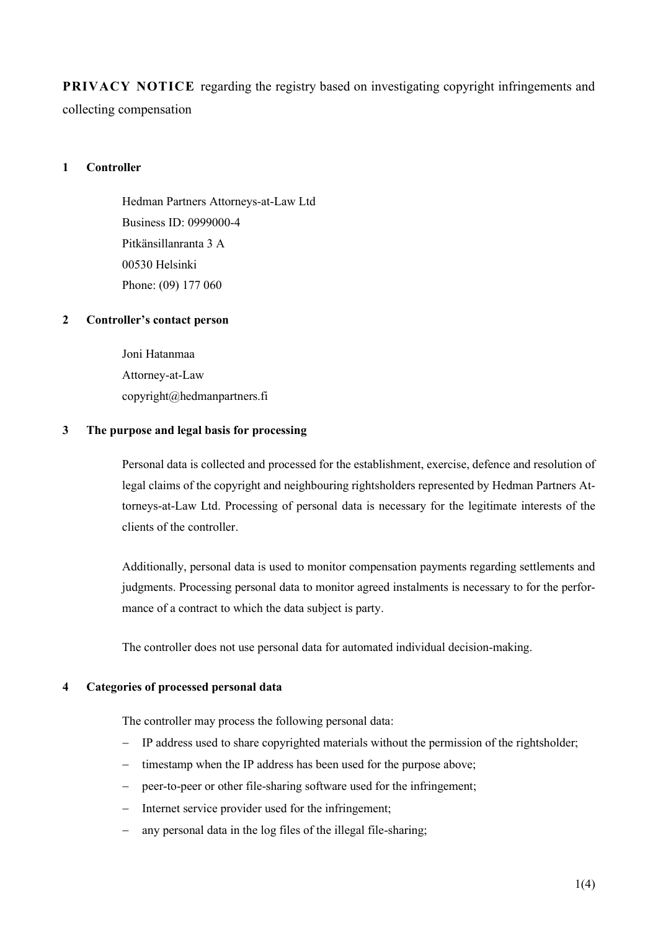**PRIVACY NOTICE** regarding the registry based on investigating copyright infringements and collecting compensation

# **1 Controller**

Hedman Partners Attorneys-at-Law Ltd Business ID: 0999000-4 Pitkänsillanranta 3 A 00530 Helsinki Phone: (09) 177 060

# **2 Controller's contact person**

Joni Hatanmaa Attorney-at-Law copyright@hedmanpartners.fi

# **3 The purpose and legal basis for processing**

Personal data is collected and processed for the establishment, exercise, defence and resolution of legal claims of the copyright and neighbouring rightsholders represented by Hedman Partners Attorneys-at-Law Ltd. Processing of personal data is necessary for the legitimate interests of the clients of the controller.

Additionally, personal data is used to monitor compensation payments regarding settlements and judgments. Processing personal data to monitor agreed instalments is necessary to for the performance of a contract to which the data subject is party.

The controller does not use personal data for automated individual decision-making.

#### **4 Categories of processed personal data**

The controller may process the following personal data:

- − IP address used to share copyrighted materials without the permission of the rightsholder;
- − timestamp when the IP address has been used for the purpose above;
- − peer-to-peer or other file-sharing software used for the infringement;
- − Internet service provider used for the infringement;
- any personal data in the log files of the illegal file-sharing;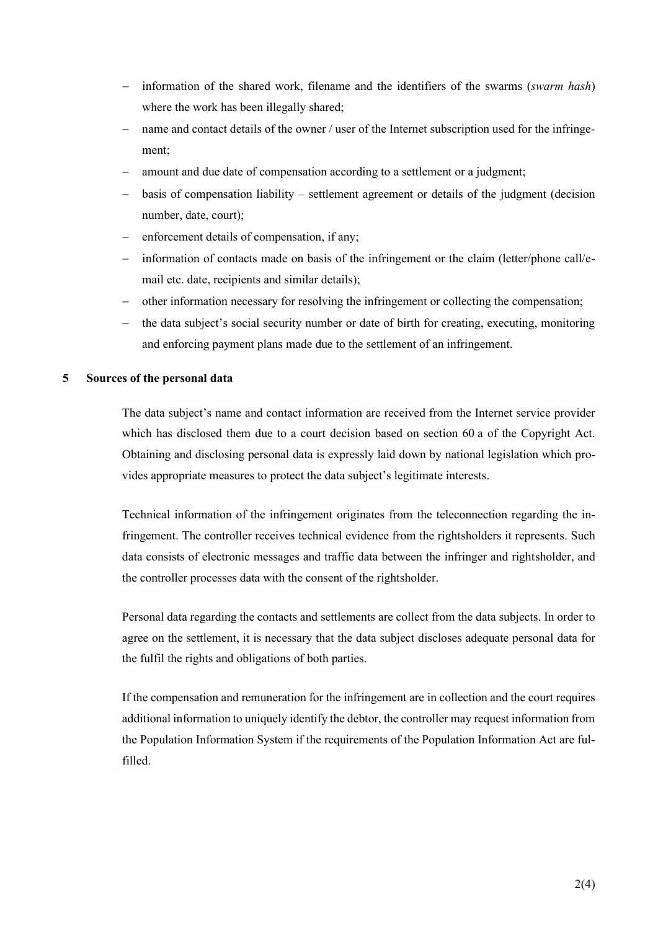- − information of the shared work, filename and the identifiers of the swarms (*swarm hash*) where the work has been illegally shared;
- name and contact details of the owner / user of the Internet subscription used for the infringement;
- amount and due date of compensation according to a settlement or a judgment;
- basis of compensation liability settlement agreement or details of the judgment (decision number, date, court);
- enforcement details of compensation, if any;
- − information of contacts made on basis of the infringement or the claim (letter/phone call/email etc. date, recipients and similar details);
- other information necessary for resolving the infringement or collecting the compensation;
- the data subject's social security number or date of birth for creating, executing, monitoring and enforcing payment plans made due to the settlement of an infringement.

# **5 Sources of the personal data**

The data subject's name and contact information are received from the Internet service provider which has disclosed them due to a court decision based on section 60 a of the Copyright Act. Obtaining and disclosing personal data is expressly laid down by national legislation which provides appropriate measures to protect the data subject's legitimate interests.

Technical information of the infringement originates from the teleconnection regarding the infringement. The controller receives technical evidence from the rightsholders it represents. Such data consists of electronic messages and traffic data between the infringer and rightsholder, and the controller processes data with the consent of the rightsholder.

Personal data regarding the contacts and settlements are collect from the data subjects. In order to agree on the settlement, it is necessary that the data subject discloses adequate personal data for the fulfil the rights and obligations of both parties.

If the compensation and remuneration for the infringement are in collection and the court requires additional information to uniquely identify the debtor, the controller may request information from the Population Information System if the requirements of the Population Information Act are fulfilled.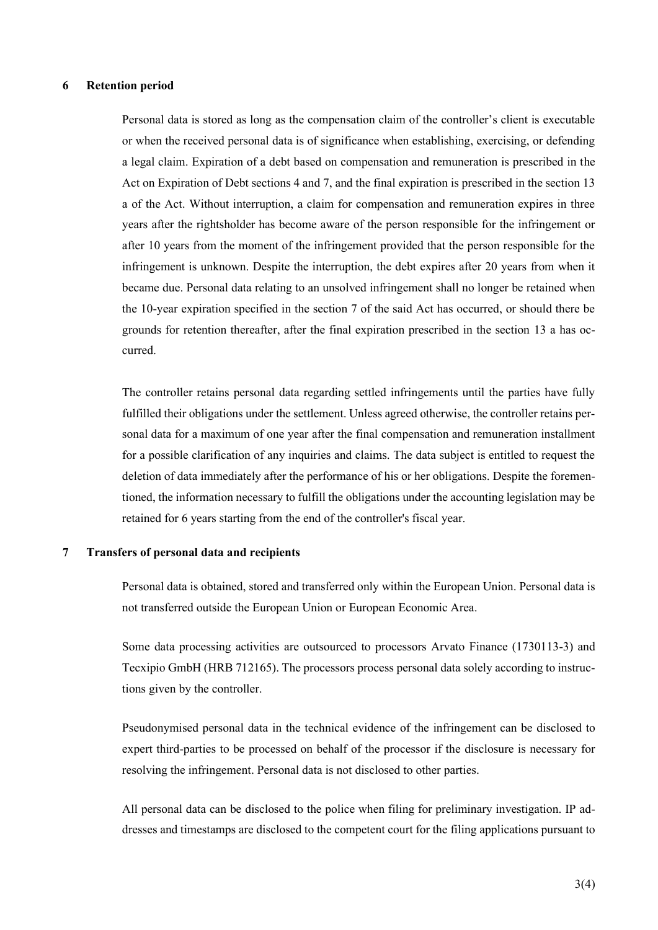#### **6 Retention period**

Personal data is stored as long as the compensation claim of the controller's client is executable or when the received personal data is of significance when establishing, exercising, or defending a legal claim. Expiration of a debt based on compensation and remuneration is prescribed in the Act on Expiration of Debt sections 4 and 7, and the final expiration is prescribed in the section 13 a of the Act. Without interruption, a claim for compensation and remuneration expires in three years after the rightsholder has become aware of the person responsible for the infringement or after 10 years from the moment of the infringement provided that the person responsible for the infringement is unknown. Despite the interruption, the debt expires after 20 years from when it became due. Personal data relating to an unsolved infringement shall no longer be retained when the 10-year expiration specified in the section 7 of the said Act has occurred, or should there be grounds for retention thereafter, after the final expiration prescribed in the section 13 a has occurred.

The controller retains personal data regarding settled infringements until the parties have fully fulfilled their obligations under the settlement. Unless agreed otherwise, the controller retains personal data for a maximum of one year after the final compensation and remuneration installment for a possible clarification of any inquiries and claims. The data subject is entitled to request the deletion of data immediately after the performance of his or her obligations. Despite the forementioned, the information necessary to fulfill the obligations under the accounting legislation may be retained for 6 years starting from the end of the controller's fiscal year.

#### **7 Transfers of personal data and recipients**

Personal data is obtained, stored and transferred only within the European Union. Personal data is not transferred outside the European Union or European Economic Area.

Some data processing activities are outsourced to processors Arvato Finance (1730113-3) and Tecxipio GmbH (HRB 712165). The processors process personal data solely according to instructions given by the controller.

Pseudonymised personal data in the technical evidence of the infringement can be disclosed to expert third-parties to be processed on behalf of the processor if the disclosure is necessary for resolving the infringement. Personal data is not disclosed to other parties.

All personal data can be disclosed to the police when filing for preliminary investigation. IP addresses and timestamps are disclosed to the competent court for the filing applications pursuant to